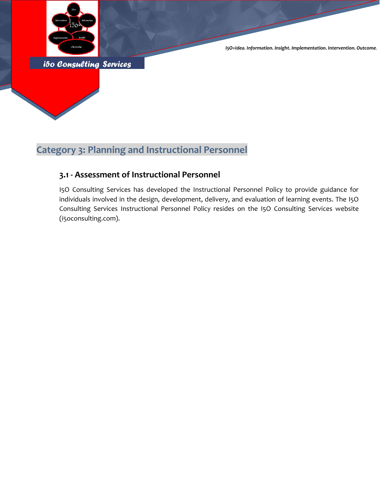

*I5O=Idea. Information. Insight. Implementation. Intervention. Outcome.*

*i5o Consulting Services* 

### **Category 3: Planning and Instructional Personnel**

#### **3.1 - Assessment of Instructional Personnel**

I5O Consulting Services has developed the Instructional Personnel Policy to provide guidance for individuals involved in the design, development, delivery, and evaluation of learning events. The I5O Consulting Services Instructional Personnel Policy resides on the I5O Consulting Services website (i5oconsulting.com).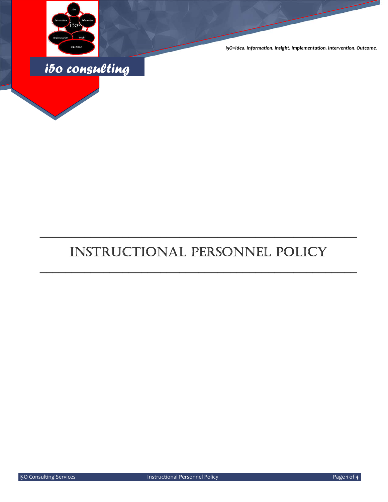

*I5O=Idea. Information. Insight. Implementation. Intervention. Outcome.*



# INSTRUCTIONAL PERSONNEL POLICY

\_\_\_\_\_\_\_\_\_\_\_\_\_\_\_\_\_\_\_\_\_\_\_\_\_\_\_\_\_\_\_\_\_\_\_\_\_\_\_\_\_\_\_\_\_\_\_\_\_\_

\_\_\_\_\_\_\_\_\_\_\_\_\_\_\_\_\_\_\_\_\_\_\_\_\_\_\_\_\_\_\_\_\_\_\_\_\_\_\_\_\_\_\_\_\_\_\_\_\_\_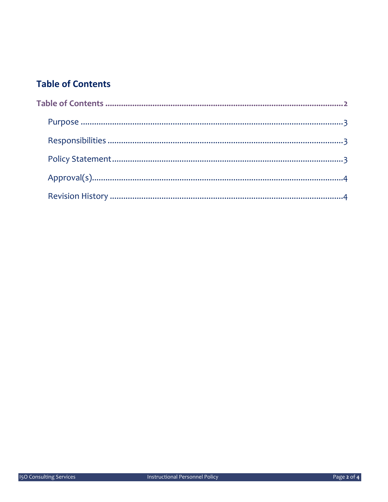## **Table of Contents**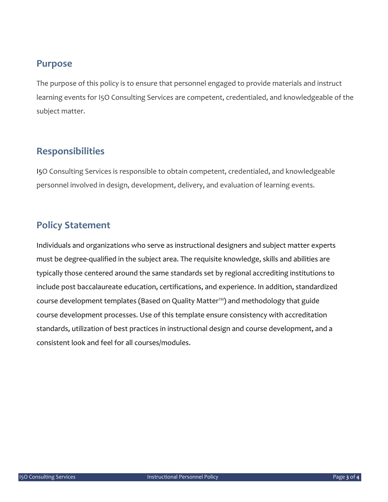#### **Purpose**

The purpose of this policy is to ensure that personnel engaged to provide materials and instruct learning events for I5O Consulting Services are competent, credentialed, and knowledgeable of the subject matter.

#### **Responsibilities**

I5O Consulting Services is responsible to obtain competent, credentialed, and knowledgeable personnel involved in design, development, delivery, and evaluation of learning events.

#### **Policy Statement**

Individuals and organizations who serve as instructional designers and subject matter experts must be degree‐qualified in the subject area. The requisite knowledge, skills and abilities are typically those centered around the same standards set by regional accrediting institutions to include post baccalaureate education, certifications, and experience. In addition, standardized course development templates (Based on Quality Matter™) and methodology that guide course development processes. Use of this template ensure consistency with accreditation standards, utilization of best practices in instructional design and course development, and a consistent look and feel for all courses/modules.